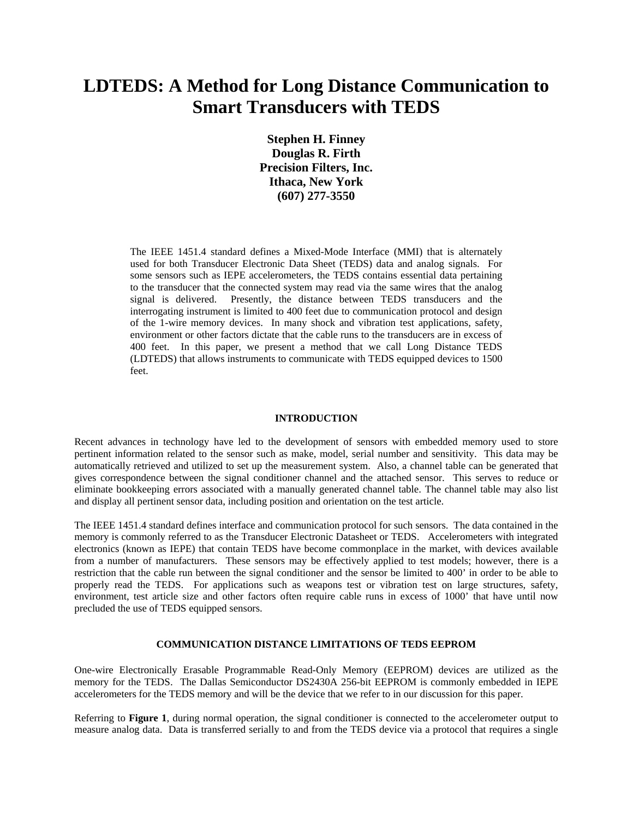# **LDTEDS: A Method for Long Distance Communication to Smart Transducers with TEDS**

**Stephen H. Finney Douglas R. Firth Precision Filters, Inc. Ithaca, New York (607) 277-3550**

The IEEE 1451.4 standard defines a Mixed-Mode Interface (MMI) that is alternately used for both Transducer Electronic Data Sheet (TEDS) data and analog signals. For some sensors such as IEPE accelerometers, the TEDS contains essential data pertaining to the transducer that the connected system may read via the same wires that the analog signal is delivered. Presently, the distance between TEDS transducers and the interrogating instrument is limited to 400 feet due to communication protocol and design of the 1-wire memory devices. In many shock and vibration test applications, safety, environment or other factors dictate that the cable runs to the transducers are in excess of 400 feet. In this paper, we present a method that we call Long Distance TEDS (LDTEDS) that allows instruments to communicate with TEDS equipped devices to 1500 feet.

#### **INTRODUCTION**

Recent advances in technology have led to the development of sensors with embedded memory used to store pertinent information related to the sensor such as make, model, serial number and sensitivity. This data may be automatically retrieved and utilized to set up the measurement system. Also, a channel table can be generated that gives correspondence between the signal conditioner channel and the attached sensor. This serves to reduce or eliminate bookkeeping errors associated with a manually generated channel table. The channel table may also list and display all pertinent sensor data, including position and orientation on the test article.

The IEEE 1451.4 standard defines interface and communication protocol for such sensors. The data contained in the memory is commonly referred to as the Transducer Electronic Datasheet or TEDS. Accelerometers with integrated electronics (known as IEPE) that contain TEDS have become commonplace in the market, with devices available from a number of manufacturers. These sensors may be effectively applied to test models; however, there is a restriction that the cable run between the signal conditioner and the sensor be limited to 400' in order to be able to properly read the TEDS. For applications such as weapons test or vibration test on large structures, safety, environment, test article size and other factors often require cable runs in excess of 1000' that have until now precluded the use of TEDS equipped sensors.

### **COMMUNICATION DISTANCE LIMITATIONS OF TEDS EEPROM**

One-wire Electronically Erasable Programmable Read-Only Memory (EEPROM) devices are utilized as the memory for the TEDS. The Dallas Semiconductor DS2430A 256-bit EEPROM is commonly embedded in IEPE accelerometers for the TEDS memory and will be the device that we refer to in our discussion for this paper.

Referring to **Figure 1**, during normal operation, the signal conditioner is connected to the accelerometer output to measure analog data. Data is transferred serially to and from the TEDS device via a protocol that requires a single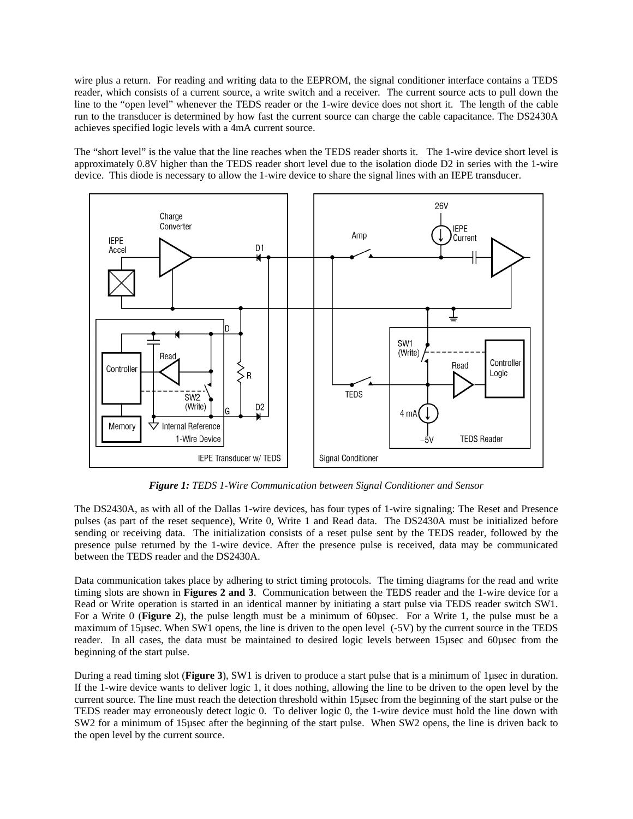wire plus a return. For reading and writing data to the EEPROM, the signal conditioner interface contains a TEDS reader, which consists of a current source, a write switch and a receiver. The current source acts to pull down the line to the "open level" whenever the TEDS reader or the 1-wire device does not short it. The length of the cable run to the transducer is determined by how fast the current source can charge the cable capacitance. The DS2430A achieves specified logic levels with a 4mA current source.

The "short level" is the value that the line reaches when the TEDS reader shorts it. The 1-wire device short level is approximately 0.8V higher than the TEDS reader short level due to the isolation diode D2 in series with the 1-wire device. This diode is necessary to allow the 1-wire device to share the signal lines with an IEPE transducer.



*Figure 1: TEDS 1-Wire Communication between Signal Conditioner and Sensor*

The DS2430A, as with all of the Dallas 1-wire devices, has four types of 1-wire signaling: The Reset and Presence pulses (as part of the reset sequence), Write 0, Write 1 and Read data. The DS2430A must be initialized before sending or receiving data. The initialization consists of a reset pulse sent by the TEDS reader, followed by the presence pulse returned by the 1-wire device. After the presence pulse is received, data may be communicated between the TEDS reader and the DS2430A.

Data communication takes place by adhering to strict timing protocols. The timing diagrams for the read and write timing slots are shown in **Figures 2 and 3**. Communication between the TEDS reader and the 1-wire device for a Read or Write operation is started in an identical manner by initiating a start pulse via TEDS reader switch SW1. For a Write 0 (**Figure 2**), the pulse length must be a minimum of 60µsec. For a Write 1, the pulse must be a maximum of 15µsec. When SW1 opens, the line is driven to the open level (-5V) by the current source in the TEDS reader. In all cases, the data must be maintained to desired logic levels between 15µsec and 60µsec from the beginning of the start pulse.

During a read timing slot (**Figure 3**), SW1 is driven to produce a start pulse that is a minimum of 1µsec in duration. If the 1-wire device wants to deliver logic 1, it does nothing, allowing the line to be driven to the open level by the current source. The line must reach the detection threshold within 15µsec from the beginning of the start pulse or the TEDS reader may erroneously detect logic 0. To deliver logic 0, the 1-wire device must hold the line down with SW2 for a minimum of 15µsec after the beginning of the start pulse. When SW2 opens, the line is driven back to the open level by the current source.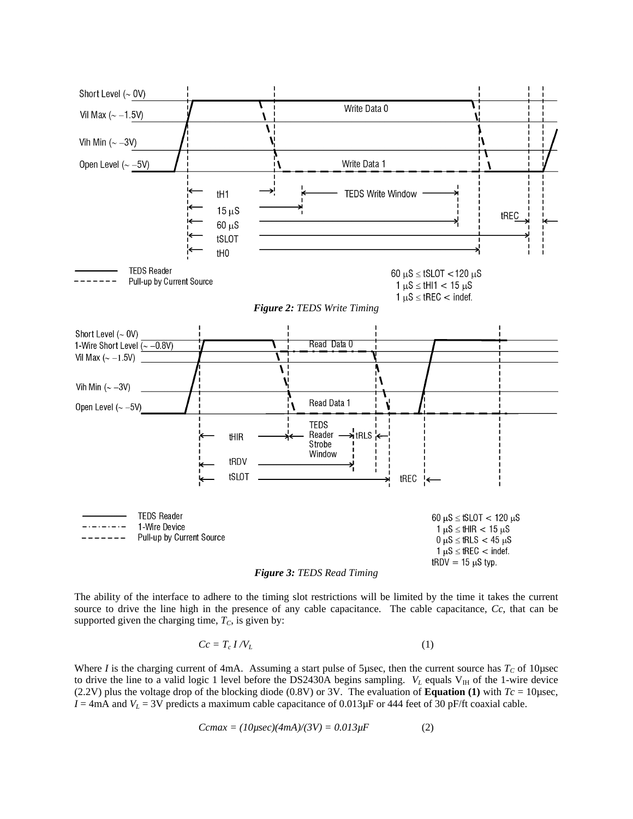



The ability of the interface to adhere to the timing slot restrictions will be limited by the time it takes the current source to drive the line high in the presence of any cable capacitance. The cable capacitance, *Cc*, that can be supported given the charging time,  $T_c$ , is given by:

$$
Cc = T_c I / V_L \tag{1}
$$

Where *I* is the charging current of 4mA. Assuming a start pulse of 5µsec, then the current source has  $T_c$  of 10µsec to drive the line to a valid logic 1 level before the DS2430A begins sampling.  $V_L$  equals  $V_H$  of the 1-wire device (2.2V) plus the voltage drop of the blocking diode (0.8V) or 3V. The evaluation of **Equation (1)** with  $T_c = 10\mu$ sec,  $I = 4 \text{mA}$  and  $V_L = 3 \text{V}$  predicts a maximum cable capacitance of 0.013 $\mu$ F or 444 feet of 30 pF/ft coaxial cable.

$$
Cemax = (10\mu \text{sec})(4mA)/(3V) = 0.013\mu F \tag{2}
$$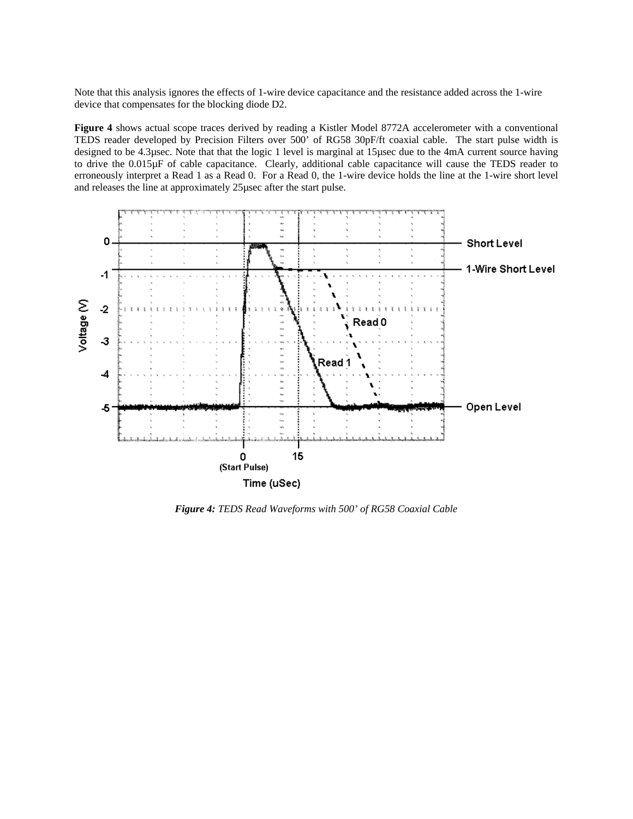Note that this analysis ignores the effects of 1-wire device capacitance and the resistance added across the 1-wire device that compensates for the blocking diode D2.

**Figure 4** shows actual scope traces derived by reading a Kistler Model 8772A accelerometer with a conventional TEDS reader developed by Precision Filters over 500' of RG58 30pF/ft coaxial cable. The start pulse width is designed to be 4.3µsec. Note that that the logic 1 level is marginal at 15µsec due to the 4mA current source having to drive the 0.015µF of cable capacitance. Clearly, additional cable capacitance will cause the TEDS reader to erroneously interpret a Read 1 as a Read 0. For a Read 0, the 1-wire device holds the line at the 1-wire short level and releases the line at approximately 25µsec after the start pulse.



*Figure 4: TEDS Read Waveforms with 500' of RG58 Coaxial Cable*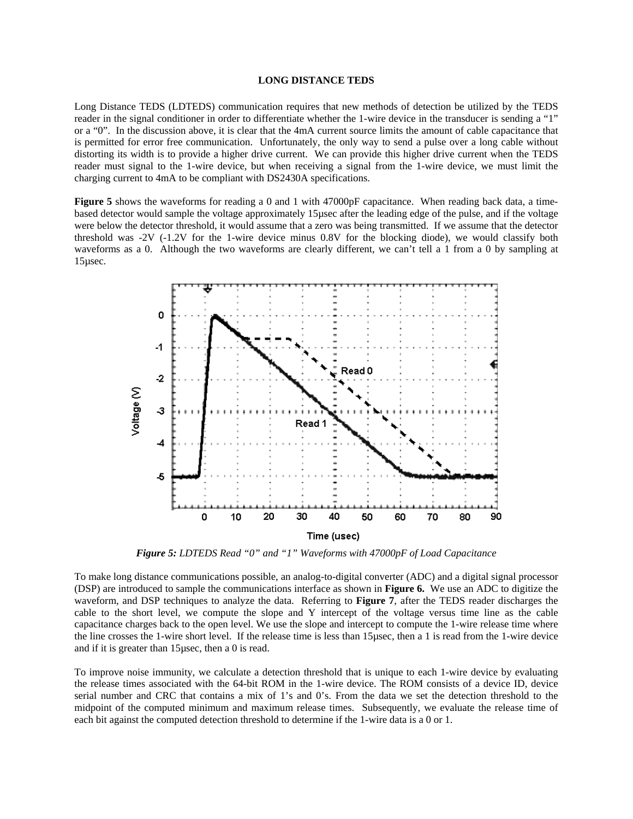## **LONG DISTANCE TEDS**

Long Distance TEDS (LDTEDS) communication requires that new methods of detection be utilized by the TEDS reader in the signal conditioner in order to differentiate whether the 1-wire device in the transducer is sending a "1" or a "0". In the discussion above, it is clear that the 4mA current source limits the amount of cable capacitance that is permitted for error free communication. Unfortunately, the only way to send a pulse over a long cable without distorting its width is to provide a higher drive current. We can provide this higher drive current when the TEDS reader must signal to the 1-wire device, but when receiving a signal from the 1-wire device, we must limit the charging current to 4mA to be compliant with DS2430A specifications.

**Figure 5** shows the waveforms for reading a 0 and 1 with 47000pF capacitance. When reading back data, a timebased detector would sample the voltage approximately 15µsec after the leading edge of the pulse, and if the voltage were below the detector threshold, it would assume that a zero was being transmitted. If we assume that the detector threshold was -2V (-1.2V for the 1-wire device minus 0.8V for the blocking diode), we would classify both waveforms as a 0. Although the two waveforms are clearly different, we can't tell a 1 from a 0 by sampling at 15µsec.



*Figure 5: LDTEDS Read "0" and "1" Waveforms with 47000pF of Load Capacitance*

To make long distance communications possible, an analog-to-digital converter (ADC) and a digital signal processor (DSP) are introduced to sample the communications interface as shown in **Figure 6.** We use an ADC to digitize the waveform, and DSP techniques to analyze the data. Referring to **Figure 7**, after the TEDS reader discharges the cable to the short level, we compute the slope and Y intercept of the voltage versus time line as the cable capacitance charges back to the open level. We use the slope and intercept to compute the 1-wire release time where the line crosses the 1-wire short level. If the release time is less than 15µsec, then a 1 is read from the 1-wire device and if it is greater than 15µsec, then a 0 is read.

To improve noise immunity, we calculate a detection threshold that is unique to each 1-wire device by evaluating the release times associated with the 64-bit ROM in the 1-wire device. The ROM consists of a device ID, device serial number and CRC that contains a mix of 1's and 0's. From the data we set the detection threshold to the midpoint of the computed minimum and maximum release times. Subsequently, we evaluate the release time of each bit against the computed detection threshold to determine if the 1-wire data is a 0 or 1.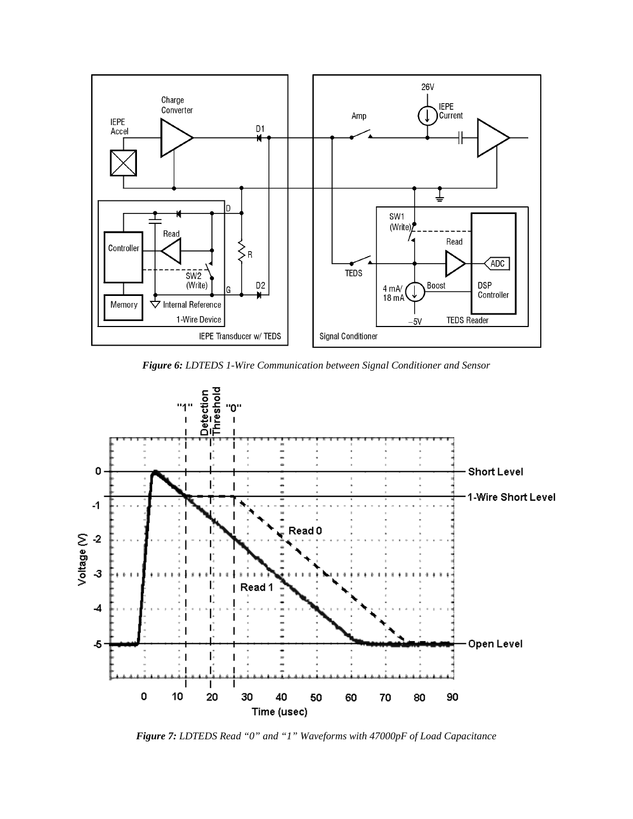

*Figure 6: LDTEDS 1-Wire Communication between Signal Conditioner and Sensor*



*Figure 7: LDTEDS Read "0" and "1" Waveforms with 47000pF of Load Capacitance*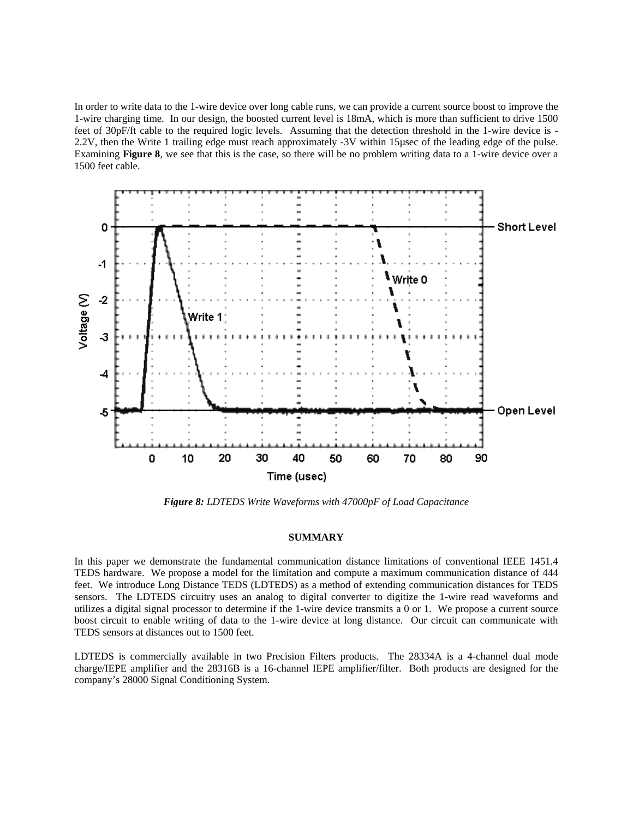In order to write data to the 1-wire device over long cable runs, we can provide a current source boost to improve the 1-wire charging time. In our design, the boosted current level is 18mA, which is more than sufficient to drive 1500 feet of 30pF/ft cable to the required logic levels. Assuming that the detection threshold in the 1-wire device is - 2.2V, then the Write 1 trailing edge must reach approximately -3V within 15µsec of the leading edge of the pulse. Examining **Figure 8**, we see that this is the case, so there will be no problem writing data to a 1-wire device over a 1500 feet cable.



*Figure 8: LDTEDS Write Waveforms with 47000pF of Load Capacitance*

#### **SUMMARY**

In this paper we demonstrate the fundamental communication distance limitations of conventional IEEE 1451.4 TEDS hardware. We propose a model for the limitation and compute a maximum communication distance of 444 feet. We introduce Long Distance TEDS (LDTEDS) as a method of extending communication distances for TEDS sensors. The LDTEDS circuitry uses an analog to digital converter to digitize the 1-wire read waveforms and utilizes a digital signal processor to determine if the 1-wire device transmits a 0 or 1. We propose a current source boost circuit to enable writing of data to the 1-wire device at long distance. Our circuit can communicate with TEDS sensors at distances out to 1500 feet.

LDTEDS is commercially available in two Precision Filters products. The 28334A is a 4-channel dual mode charge/IEPE amplifier and the 28316B is a 16-channel IEPE amplifier/filter. Both products are designed for the company's 28000 Signal Conditioning System.